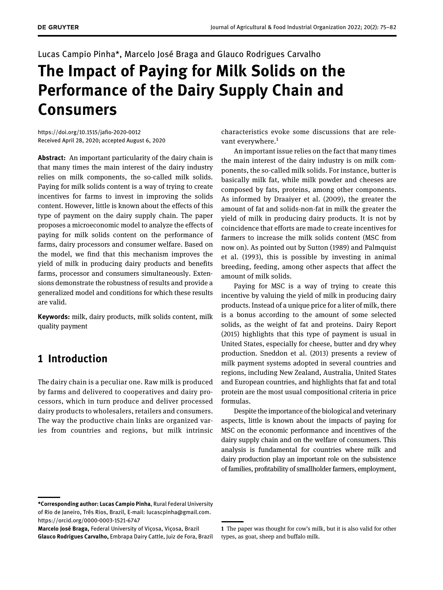## Lucas Campio Pinha\*, Marcelo José Braga and Glauco Rodrigues Carvalho The Impact of Paying for Milk Solids on the

# Performance of the Dairy Supply Chain and Consumers

<https://doi.org/10.1515/jafio-2020-0012> Received April 28, 2020; accepted August 6, 2020

Abstract: An important particularity of the dairy chain is that many times the main interest of the dairy industry relies on milk components, the so-called milk solids. Paying for milk solids content is a way of trying to create incentives for farms to invest in improving the solids content. However, little is known about the effects of this type of payment on the dairy supply chain. The paper proposes a microeconomic model to analyze the effects of paying for milk solids content on the performance of farms, dairy processors and consumer welfare. Based on the model, we find that this mechanism improves the yield of milk in producing dairy products and benefits farms, processor and consumers simultaneously. Extensions demonstrate the robustness of results and provide a generalized model and conditions for which these results are valid.

Keywords: milk, dairy products, milk solids content, milk quality payment

## 1 Introduction

The dairy chain is a peculiar one. Raw milk is produced by farms and delivered to cooperatives and dairy processors, which in turn produce and deliver processed dairy products to wholesalers, retailers and consumers. The way the productive chain links are organized varies from countries and regions, but milk intrinsic characteristics evoke some discussions that are relevant everywhere. $<sup>1</sup>$ </sup>

An important issue relies on the fact that many times the main interest of the dairy industry is on milk components, the so-called milk solids. For instance, butter is basically milk fat, while milk powder and cheeses are composed by fats, proteins, among other components. As informed by [Draaiyer et al. \(2009\),](#page-7-0) the greater the amount of fat and solids-non-fat in milk the greater the yield of milk in producing dairy products. It is not by coincidence that efforts are made to create incentives for farmers to increase the milk solids content (MSC from now on). As pointed out by [Sutton \(1989\) and Palmquist](#page-7-1) [et al. \(1993\)](#page-7-1), this is possible by investing in animal breeding, feeding, among other aspects that affect the amount of milk solids.

Paying for MSC is a way of trying to create this incentive by valuing the yield of milk in producing dairy products. Instead of a unique price for a liter of milk, there is a bonus according to the amount of some selected solids, as the weight of fat and proteins. [Dairy Report](#page-7-2) [\(2015\)](#page-7-2) highlights that this type of payment is usual in United States, especially for cheese, butter and dry whey production. [Sneddon et al. \(2013\)](#page-7-3) presents a review of milk payment systems adopted in several countries and regions, including New Zealand, Australia, United States and European countries, and highlights that fat and total protein are the most usual compositional criteria in price formulas.

Despite the importance of the biological and veterinary aspects, little is known about the impacts of paying for MSC on the economic performance and incentives of the dairy supply chain and on the welfare of consumers. This analysis is fundamental for countries where milk and dairy production play an important role on the subsistence of families, profitability of smallholder farmers, employment,

<sup>\*</sup>Corresponding author: Lucas Campio Pinha, Rural Federal University of Rio de Janeiro, Três Rios, Brazil, E-mail: [lucascpinha@gmail.com.](mailto:lucascpinha@gmail.com) <https://orcid.org/0000-0003-1521-6747>

Marcelo José Braga, Federal University of Viçosa, Viçosa, Brazil Glauco Rodrigues Carvalho, Embrapa Dairy Cattle, Juiz de Fora, Brazil

<sup>1</sup> The paper was thought for cow's milk, but it is also valid for other types, as goat, sheep and buffalo milk.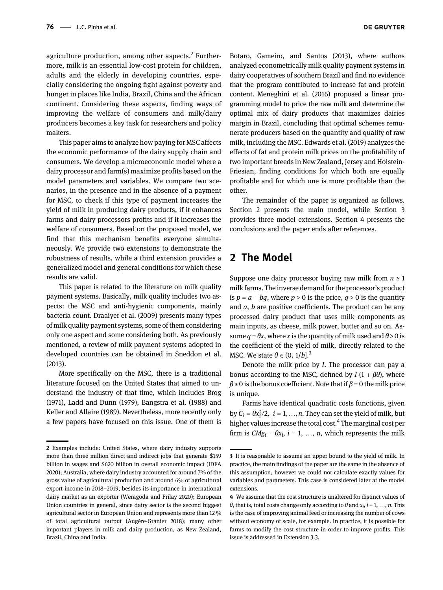agriculture production, among other aspects. $2$  Furthermore, milk is an essential low-cost protein for children, adults and the elderly in developing countries, especially considering the ongoing fight against poverty and hunger in places like India, Brazil, China and the African continent. Considering these aspects, finding ways of improving the welfare of consumers and milk/dairy

makers. This paper aims to analyze how paying for MSC affects the economic performance of the dairy supply chain and consumers. We develop a microeconomic model where a dairy processor and farm(s) maximize profits based on the model parameters and variables. We compare two scenarios, in the presence and in the absence of a payment for MSC, to check if this type of payment increases the yield of milk in producing dairy products, if it enhances farms and dairy processors profits and if it increases the welfare of consumers. Based on the proposed model, we find that this mechanism benefits everyone simultaneously. We provide two extensions to demonstrate the robustness of results, while a third extension provides a generalized model and general conditions for which these results are valid.

producers becomes a key task for researchers and policy

This paper is related to the literature on milk quality payment systems. Basically, milk quality includes two aspects: the MSC and anti-hygienic components, mainly bacteria count. [Draaiyer et al. \(2009\)](#page-7-0) presents many types of milk quality payment systems, some of them considering only one aspect and some considering both. As previously mentioned, a review of milk payment systems adopted in developed countries can be obtained in [Sneddon et al.](#page-7-3) [\(2013\)](#page-7-3).

More specifically on the MSC, there is a traditional literature focused on the United States that aimed to understand the industry of that time, which includes [Brog](#page-7-4) [\(1971\), Ladd and Dunn \(1979\), Bangstra et al. \(1988\) and](#page-7-4) [Keller and Allaire \(1989\)](#page-7-4). Nevertheless, more recently only a few papers have focused on this issue. One of them is

[Botaro, Gameiro, and Santos \(2013\)](#page-7-5), where authors analyzed econometrically milk quality payment systems in dairy cooperatives of southern Brazil and find no evidence that the program contributed to increase fat and protein content. [Meneghini et al. \(2016\)](#page-7-6) proposed a linear programming model to price the raw milk and determine the optimal mix of dairy products that maximizes dairies margin in Brazil, concluding that optimal schemes remunerate producers based on the quantity and quality of raw milk, including the MSC. [Edwards et al. \(2019\)](#page-7-7) analyzes the effects of fat and protein milk prices on the profitability of two important breeds in New Zealand, Jersey and Holstein-Friesian, finding conditions for which both are equally profitable and for which one is more profitable than the other.

The remainder of the paper is organized as follows. [Section 2](#page-1-0) presents the main model, while [Section 3](#page-5-0) provides three model extensions. [Section 4](#page-7-8) presents the conclusions and the paper ends after references.

## <span id="page-1-0"></span>2 The Model

Suppose one dairy processor buying raw milk from  $n \geq 1$ milk farms. The inverse demand for the processor's product is  $p = a - bq$ , where  $p > 0$  is the price,  $q > 0$  is the quantity and  $a$ ,  $b$  are positive coefficients. The product can be any processed dairy product that uses milk components as main inputs, as cheese, milk power, butter and so on. Assume  $q = \theta x$ , where x is the quantity of milk used and  $\theta > 0$  is the coefficient of the yield of milk, directly related to the MSC. We state  $\theta \in (0, 1/b]^3$ .

Denote the milk price by I. The processor can pay a bonus according to the MSC, defined by  $I(1 + \beta \theta)$ , where  $\beta \ge 0$  is the bonus coefficient. Note that if  $\beta = 0$  the milk price is unique.

Farms have identical quadratic costs functions, given by  $C_i = \theta x_i^2/2$ ,  $i = 1, ..., n$ . They can set the yield of milk, but higher values increase the total cost.<sup>4</sup> The marginal cost per firm is  $CMg_i = \theta x_i$ ,  $i = 1, ..., n$ , which represents the milk

<sup>2</sup> Examples include: United States, where dairy industry supports more than three million direct and indirect jobs that generate \$159 billion in wages and \$620 billion in overall economic impact [\(IDFA](#page-7-9) [2020](#page-7-9)); Australia, where dairy industry accounted for around 7% of the gross value of agricultural production and around 6% of agricultural export income in 2018–2019, besides its importance in international dairy market as an exporter ([Weragoda and Frilay 2020\)](#page-7-10); European Union countries in general, since dairy sector is the second biggest agricultural sector in European Union and represents more than 12 % of total agricultural output ([Augère-Granier 2018\)](#page-7-11); many other important players in milk and dairy production, as New Zealand, Brazil, China and India.

<sup>3</sup> It is reasonable to assume an upper bound to the yield of milk. In practice, the main findings of the paper are the same in the absence of this assumption, however we could not calculate exactly values for variables and parameters. This case is considered later at the model extensions.

<sup>4</sup> We assume that the cost structure is unaltered for distinct values of  $\theta$ , that is, total costs change only according to  $\theta$  and  $x_i$ ,  $i = 1, ..., n$ . This is the case of improving animal feed or increasing the number of cows without economy of scale, for example. In practice, it is possible for farms to modify the cost structure in order to improve profits. This issue is addressed in Extension 3.3.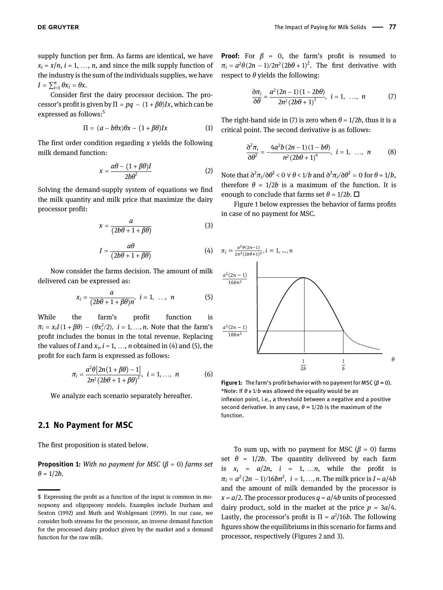supply function per firm. As farms are identical, we have  $x_i = x/n$ ,  $i = 1, ..., n$ , and since the milk supply function of the industry is the sum of the individuals supplies, we have  $I = \sum_{i=1}^n \theta x_i = \theta x.$ 

Consider first the dairy processor decision. The processor's profit is given by  $\Pi = pq - (1 + \beta \theta)Ix$ , which can be expressed as follows:<sup>5</sup>

$$
\Pi = (a - b\theta x)\theta x - (1 + \beta \theta)Ix \qquad (1)
$$

<span id="page-2-5"></span>The first order condition regarding  $x$  yields the following milk demand function:

$$
x = \frac{a\theta - (1 + \beta\theta)I}{2b\theta^2} \tag{2}
$$

<span id="page-2-4"></span>Solving the demand-supply system of equations we find the milk quantity and milk price that maximize the dairy processor profit:

$$
x = \frac{a}{(2b\theta + 1 + \beta\theta)}
$$
 (3)

$$
I = \frac{a\theta}{(2b\theta + 1 + \beta\theta)}
$$
 (4)

<span id="page-2-0"></span>Now consider the farms decision. The amount of milk delivered can be expressed as:

$$
x_i = \frac{a}{(2b\theta + 1 + \beta\theta)n}, \quad i = 1, \ldots, n \tag{5}
$$

While the farm's profit function is  $\pi_i = x_i I(1 + \beta \theta) - (\theta x_i^2/2), i = 1, ..., n$ . Note that the farm's profit includes the bonus in the total revenue. Replacing the values of I and  $x_i$ ,  $i = 1, ..., n$  obtained in [\(4\) and \(5\),](#page-2-0) the profit for each farm is expressed as follows:

<span id="page-2-3"></span>
$$
\pi_i = \frac{a^2 \theta [2n(1+\beta\theta) - 1]}{2n^2 (2b\theta + 1 + \beta\theta)^2}, \ \ i = 1, ..., \ n \tag{6}
$$

We analyze each scenario separately hereafter.

#### 2.1 No Payment for MSC

The first proposition is stated below.

**Proposition 1:** With no payment for MSC ( $\beta$  = 0) farms set  $\theta = 1/2b$ .

<span id="page-2-1"></span>**Proof:** For  $\beta = 0$ , the farm's profit is resumed to  $\pi_i = a^2 \theta (2n-1)/2n^2 (2b\theta + 1)^2$ . The first derivative with respect to  $\theta$  yields the following:

$$
\frac{\partial \pi_i}{\partial \theta} = \frac{a^2 (2n-1) (1-2b\theta)}{2n^2 (2b\theta + 1)^3}, \quad i = 1, \dots, n \tag{7}
$$

The right-hand side in [\(7\)](#page-2-1) is zero when  $\theta = 1/2b$ , thus it is a critical point. The second derivative is as follows:

$$
\frac{\partial^2 \pi_i}{\partial \theta^2} = \frac{-4a^2b(2n-1)(1-b\theta)}{n^2(2b\theta+1)^4}, \quad i = 1, \dots, n
$$
 (8)

Note that  $\frac{\partial^2 \pi_i}{\partial \theta^2} < 0 \ \forall \ \theta < 1/b$  and  $\frac{\partial^2 \pi_i}{\partial \theta^2} = 0$  for  $\theta = 1/b$ , therefore  $\theta = 1/2b$  is a maximum of the function. It is enough to conclude that farms set  $\theta = 1/2b$ .  $\Box$ 

[Figure 1](#page-2-2) below expresses the behavior of farms profits in case of no payment for MSC.



<span id="page-2-2"></span>**Figure 1:** The farm's profit behavior with no payment for MSC ( $\beta = 0$ ). \*Note: If  $\theta$  ≥ 1/b was allowed the equality would be an inflexion point, i.e., a threshold between a negative and a positive second derivative. In any case,  $\theta = 1/2b$  is the maximum of the function.

To sum up, with no payment for MSC ( $\beta = 0$ ) farms set  $\theta = 1/2b$ . The quantity delivered by each farm is  $x_i = a/2n$ ,  $i = 1, ..., n$ , while the profit is  $\pi_i = a^2(2n - 1)/16bn^2$ ,  $i = 1, ..., n$ . The milk price is  $I = a/4b$ and the amount of milk demanded by the processor is  $x = a/2$ . The processor produces  $q = a/4b$  units of processed dairy product, sold in the market at the price  $p = 3a/4$ . Lastly, the processor's profit is  $\Pi = a^2/16b$ . The following figures show the equilibriums in this scenario for farms and processor, respectively ([Figures 2 and 3\)](#page-3-0).

<sup>5</sup> Expressing the profit as a function of the input is common in monopsony and oligopsony models. Examples include [Durham and](#page-7-12) [Sexton \(1992\) and Muth and Wohlgenant \(1999\).](#page-7-12) In our case, we consider both streams for the processor, an inverse demand function for the processed dairy product given by the market and a demand function for the raw milk.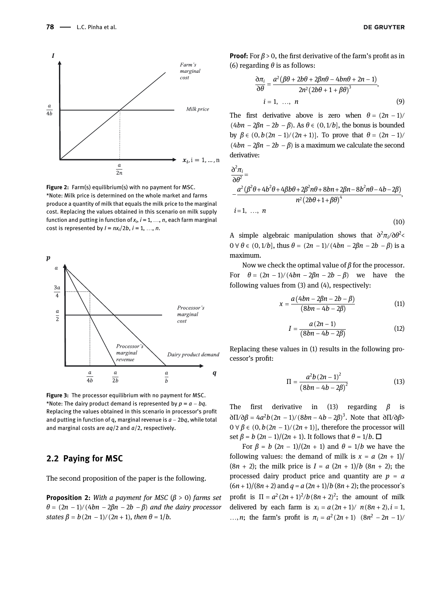

<span id="page-3-0"></span>Figure 2: Farm(s) equilibrium(s) with no payment for MSC. \*Note: Milk price is determined on the whole market and farms produce a quantity of milk that equals the milk price to the marginal cost. Replacing the values obtained in this scenario on milk supply function and putting in function of  $x_i$ ,  $i = 1, ..., n$ , each farm marginal cost is represented by  $I = nx_i/2b$ ,  $i = 1, ..., n$ .



<span id="page-3-2"></span>Figure 3: The processor equilibrium with no payment for MSC. \*Note: The dairy product demand is represented by  $p = a - bq$ . Replacing the values obtained in this scenario in processor's profit and putting in function of q, marginal revenue is  $a - 2bq$ , while total and marginal costs are  $aq/2$  and  $a/2$ , respectively.

#### 2.2 Paying for MSC

The second proposition of the paper is the following.

**Proposition 2:** With a payment for MSC ( $\beta$  > 0) farms set  $\theta = (2n - 1)/(4bn - 2\beta n - 2b - \beta)$  and the dairy processor states  $\beta = b(2n - 1)/(2n + 1)$ , then  $\theta = 1/b$ .

**Proof:** For  $\beta > 0$ , the first derivative of the farm's profit as in [\(6\)](#page-2-3) regarding  $\theta$  is as follows:

$$
\frac{\partial \pi_i}{\partial \theta} = \frac{a^2 (\beta \theta + 2b\theta + 2\beta n\theta - 4bn\theta + 2n - 1)}{2n^2 (2b\theta + 1 + \beta \theta)^3},
$$
  
 $i = 1, ..., n$  (9)

The first derivative above is zero when  $\theta = (2n - 1)/2$ (4bn – 2 $\beta n - 2b - \beta$ ). As  $\theta \in (0, 1/b]$ , the bonus is bounded by  $\beta \in (0, b(2n-1)/(2n+1))$ . To prove that  $\theta = (2n-1)/$  $(4bn − 2βn − 2b − β)$  is a maximum we calculate the second derivative:

$$
\frac{\partial^2 \pi_i}{\partial \theta^2} =
$$
\n
$$
\frac{a^2 (\beta^2 \theta + 4b^2 \theta + 4\beta b\theta + 2\beta^2 n\theta + 8bn + 2\beta n - 8b^2 n\theta - 4b - 2\beta)}{n^2 (2b\theta + 1 + \beta \theta)^4},
$$
\n
$$
i = 1, ..., n
$$
\n(10)

A simple algebraic manipulation shows that  $\partial^2 \pi_i / \partial \theta^2$  $0 \forall \theta \in (0, 1/b]$ , thus  $\theta = (2n - 1)/(4bn - 2\beta n - 2b - \beta)$  is a maximum.

Now we check the optimal value of  $\beta$  for the processor. For  $\theta = (2n - 1)/(4bn - 2\beta n - 2b - \beta)$  we have the following values from [\(3\) and \(4\),](#page-2-4) respectively:

$$
x = \frac{a(4bn - 2\beta n - 2b - \beta)}{(8bn - 4b - 2\beta)}
$$
(11)

$$
I = \frac{a(2n-1)}{(8bn - 4b - 2\beta)}
$$
 (12)

<span id="page-3-1"></span>Replacing these values in [\(1\)](#page-2-5) results in the following processor's profit:

$$
\Pi = \frac{a^2 b (2n - 1)^2}{(8bn - 4b - 2\beta)^2}
$$
 (13)

The first derivative in [\(13\)](#page-3-1) regarding  $\beta$  is  $\frac{\partial \Pi}{\partial \beta} = 4a^2b(2n-1)/(8bn-4b-2\beta)^3$ . Note that  $\frac{\partial \Pi}{\partial \beta}$  $0 \forall \beta \in (0, b(2n-1)/(2n+1)]$ , therefore the processor will set  $\beta = b (2n - 1)/(2n + 1)$ . It follows that  $\theta = 1/b$ .  $\Box$ 

For  $\beta = b (2n - 1)/(2n + 1)$  and  $\theta = 1/b$  we have the following values: the demand of milk is  $x = a (2n + 1)$  $(8n + 2)$ ; the milk price is  $I = a (2n + 1)/b (8n + 2)$ ; the processed dairy product price and quantity are  $p = a$  $(6n + 1)/(8n + 2)$  and  $q = a(2n + 1)/b(8n + 2)$ ; the processor's profit is  $\Pi = a^2 (2n + 1)^2 / b (8n + 2)^2$ ; the amount of milk delivered by each farm is  $x_i = a(2n + 1) / n(8n + 2), i = 1$ , ..., *n*; the farm's profit is  $\pi_i = a^2(2n+1) (8n^2 - 2n - 1)$ /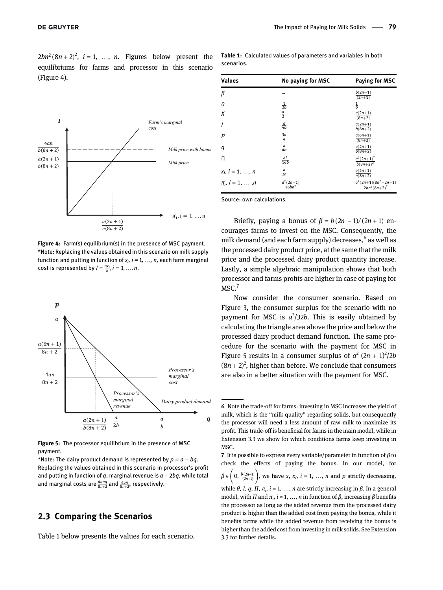$2bn^2(8n + 2)^2$ ,  $i = 1, ..., n$ . Figures below present the equilibriums for farms and processor in this scenario [\(Figure 4\).](#page-4-0)



<span id="page-4-0"></span>Figure 4: Farm(s) equilibrium(s) in the presence of MSC payment. \*Note: Replacing the values obtained in this scenario on milk supply function and putting in function of  $x_i$ ,  $i= 1, ..., n$ , each farm marginal cost is represented by  $I = \frac{n x_i}{b}$ ,  $i = 1, ..., n$ .



<span id="page-4-2"></span>Figure 5: The processor equilibrium in the presence of MSC payment.

\*Note: The dairy product demand is represented by  $p = a - bq$ . Replacing the values obtained in this scenario in processor's profit and putting in function of  $q$ , marginal revenue is  $a - 2bq$ , while total and marginal costs are  $\frac{4ang}{8n+2}$  and  $\frac{4an}{8n+2}$ , respectively.

#### 2.3 Comparing the Scenarios

[Table 1](#page-4-1) below presents the values for each scenario.

<span id="page-4-1"></span>Table 1: Calculated values of parameters and variables in both scenarios.

| <b>Values</b>          | No paying for MSC                | Paying for MSC                               |
|------------------------|----------------------------------|----------------------------------------------|
| β                      |                                  | $rac{b(2n-1)}{(2n+1)}$                       |
| θ                      | $\frac{1}{2b}$                   | $\frac{1}{b}$                                |
| X                      | $\frac{a}{2}$                    | $\frac{a(2n+1)}{(8n+2)}$                     |
| I                      | $rac{a}{4b}$                     | $a(2n+1)$<br>$b(8n+2)$                       |
| P                      | $\frac{3a}{4}$                   | $a(6n+1)$<br>$(8n+2)$                        |
| q                      | $rac{a}{4b}$                     | $a(2n+1)$<br>$b(8n+2)$                       |
| п                      | $\frac{a^2}{16b}$                | $\frac{a^2(2n+1)^2}{b(8n+2)^2}$              |
| $x_i$ , $i = 1, , n$   | $rac{a}{2n}$                     | $a(2n+1)$<br>$n(8n+2)$                       |
| $\pi_i$ , $i = 1, , n$ | $a^2(2n-1)$<br>16bn <sup>2</sup> | $\frac{a^2(2n+1)(8n^2-2n-1)}{2bn^2(8n+2)^2}$ |

Source: own calculations.

Briefly, paying a bonus of  $\beta = b(2n - 1)/(2n + 1)$  encourages farms to invest on the MSC. Consequently, the milk demand (and each farm supply) decreases.<sup>6</sup> as well as the processed dairy product price, at the same that the milk price and the processed dairy product quantity increase. Lastly, a simple algebraic manipulation shows that both processor and farms profits are higher in case of paying for MSC.<sup>7</sup>

Now consider the consumer scenario. Based on [Figure 3,](#page-3-2) the consumer surplus for the scenario with no payment for MSC is  $a^2/32b$ . This is easily obtained by calculating the triangle area above the price and below the processed dairy product demand function. The same procedure for the scenario with the payment for MSC in [Figure 5](#page-4-2) results in a consumer surplus of  $a^2 (2n + 1)^2/2b$  $(8n + 2)^2$ , higher than before. We conclude that consumers are also in a better situation with the payment for MSC.

<sup>6</sup> Note the trade-off for farms: investing in MSC increases the yield of milk, which is the "milk quality" regarding solids, but consequently the processor will need a less amount of raw milk to maximize its profit. This trade-off is beneficial for farms in the main model, while in Extension 3.3 we show for which conditions farms keep investing in MSC.

<sup>7</sup> It is possible to express every variable/parameter in function of  $\beta$  to check the effects of paying the bonus. In our model, for  $\beta \in \left(0, \frac{b(2n-1)}{(2n+1)}\right)$ , we have x,  $x_i$ ,  $i = 1, ..., n$  and p strictly decreasing, while θ, I, q, Π,  $\pi_i$ , i = 1, ..., n are strictly increasing in β. In a general model, with  $\Pi$  and  $\pi_i$ ,  $i = 1, ..., n$  in function of  $\beta$ , increasing  $\beta$  benefits the processor as long as the added revenue from the processed dairy product is higher than the added cost from paying the bonus, while it benefits farms while the added revenue from receiving the bonus is higher than the added cost from investing in milk solids. See Extension 3.3 for further details.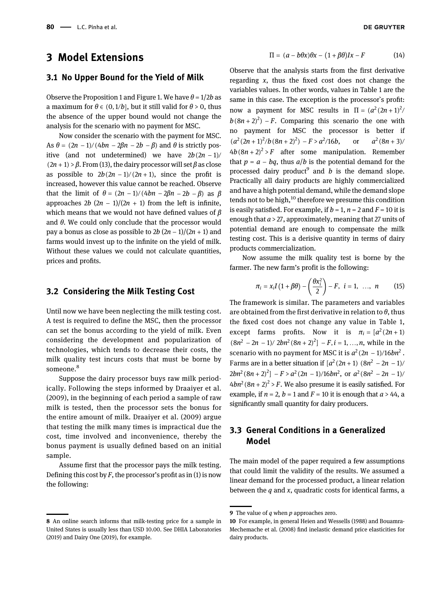## <span id="page-5-0"></span>3 Model Extensions

#### 3.1 No Upper Bound for the Yield of Milk

Observe the Proposition 1 and [Figure 1](#page-2-2). We have  $\theta = 1/2b$  as a maximum for  $\theta \in (0, 1/b]$ , but it still valid for  $\theta > 0$ , thus the absence of the upper bound would not change the analysis for the scenario with no payment for MSC.

Now consider the scenario with the payment for MSC. As  $\theta = (2n - 1)/(4bn - 2\beta n - 2b - \beta)$  and  $\theta$  is strictly positive (and not undetermined) we have  $2b(2n - 1)$ /  $(2n + 1)$  >  $\beta$ . From [\(13\)](#page-3-1), the dairy processor will set  $\beta$  as close as possible to  $2b(2n - 1)/(2n + 1)$ , since the profit is increased, however this value cannot be reached. Observe that the limit of  $\theta = (2n - 1)/(4bn - 2\beta n - 2b - \beta)$  as  $\beta$ approaches  $2b (2n - 1)/(2n + 1)$  from the left is infinite, which means that we would not have defined values of  $\beta$ and  $\theta$ . We could only conclude that the processor would pay a bonus as close as possible to  $2b (2n-1)/(2n+1)$  and farms would invest up to the infinite on the yield of milk. Without these values we could not calculate quantities, prices and profits.

#### 3.2 Considering the Milk Testing Cost

Until now we have been neglecting the milk testing cost. A test is required to define the MSC, then the processor can set the bonus according to the yield of milk. Even considering the development and popularization of technologies, which tends to decrease their costs, the milk quality test incurs costs that must be borne by someone.<sup>8</sup>

Suppose the dairy processor buys raw milk periodically. Following the steps informed by [Draaiyer et al.](#page-7-0) [\(2009\),](#page-7-0) in the beginning of each period a sample of raw milk is tested, then the processor sets the bonus for the entire amount of milk. [Draaiyer et al. \(2009\)](#page-7-0) argue that testing the milk many times is impractical due the cost, time involved and inconvenience, thereby the bonus payment is usually defined based on an initial sample.

Assume first that the processor pays the milk testing. Defining this cost by  $F$ , the processor's profit as in [\(1\)](#page-2-5) is now the following:

$$
\Pi = (a - b\theta x)\theta x - (1 + \beta \theta)Ix - F \tag{14}
$$

Observe that the analysis starts from the first derivative regarding  $x$ , thus the fixed cost does not change the variables values. In other words, values in [Table 1](#page-4-1) are the same in this case. The exception is the processor`s profit: now a payment for MSC results in  $\Pi = (a^2(2n+1)^2)$  $b(8n + 2)^2$ ) – F. Comparing this scenario the one with no payment for MSC the processor is better if  $(a^2(2n+1)^2/b(8n+2)^2) - F > a^2/16b$ , or  $a^2$  $a^2(8n + 3)$ /  $4b(8n+2)^2 > F$  after some manipulation. Remember that  $p = a - bq$ , thus  $a/b$  is the potential demand for the processed dairy product<sup>9</sup> and  $b$  is the demand slope. Practically all dairy products are highly commercialized and have a high potential demand, while the demand slope tends not to be high, $10$  therefore we presume this condition is easily satisfied. For example, if  $b = 1$ ,  $n = 2$  and  $F = 10$  it is enough that  $a > 27$ , approximately, meaning that 27 units of potential demand are enough to compensate the milk testing cost. This is a derisive quantity in terms of dairy products commercialization.

Now assume the milk quality test is borne by the farmer. The new farm's profit is the following:

$$
\pi_i = x_i I \left(1 + \beta \theta\right) - \left(\frac{\theta x_i^2}{2}\right) - F, \ \ i = 1, \ \ \dots, \ \ n \tag{15}
$$

The framework is similar. The parameters and variables are obtained from the first derivative in relation to  $\theta$ , thus the fixed cost does not change any value in [Table 1](#page-4-1), except farms profits. Now it is  $\pi_i = [a^2(2n + 1)]$  $(8n^2 - 2n - 1)/2bn^2(8n + 2)^2$  – F, i = 1, ..., n, while in the scenario with no payment for MSC it is  $a^2(2n - 1)/16bn^2$ . Farms are in a better situation if  $\left[\frac{a^2(2n+1)}{(8n^2 - 2n - 1)}\right]$  $2bn^2(8n + 2)^2$ ]  $-F > a^2(2n - 1)/16bn^2$ , or  $a^2(8n^2 - 2n - 1)/2$  $4bn^2(8n + 2)^2 > F$ . We also presume it is easily satisfied. For example, if  $n = 2$ ,  $b = 1$  and  $F = 10$  it is enough that  $a > 44$ , a significantly small quantity for dairy producers.

### 3.3 General Conditions in a Generalized Model

The main model of the paper required a few assumptions that could limit the validity of the results. We assumed a linear demand for the processed product, a linear relation between the  $q$  and  $x$ , quadratic costs for identical farms, a

<sup>8</sup> An online search informs that milk-testing price for a sample in United States is usually less than USD 10.00. See [DHIA Laboratories](#page-7-13) [\(2019\) and Dairy One \(2019\),](#page-7-13) for example.

**<sup>9</sup>** The value of  $q$  when  $p$  approaches zero.

<sup>10</sup> For example, in general [Heien and Wessells \(1988\) and Bouamra-](#page-7-14)[Mechemache et al. \(2008\)](#page-7-14) find inelastic demand price elasticities for dairy products.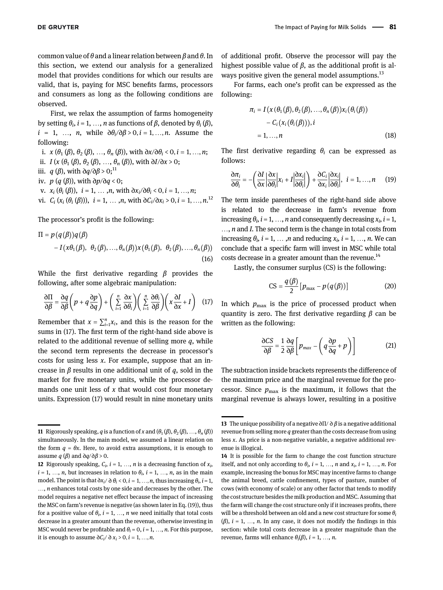common value of  $\theta$  and a linear relation between  $\beta$  and  $\theta$ . In this section, we extend our analysis for a generalized model that provides conditions for which our results are valid, that is, paying for MSC benefits farms, processors and consumers as long as the following conditions are observed.

First, we relax the assumption of farms homogeneity by setting  $\theta_i$ ,  $i = 1, ..., n$  as functions of  $\beta$ , denoted by  $\theta_i(\beta)$ ,  $i = 1, \ldots, n$ , while  $\frac{\partial \theta_i}{\partial \beta} > 0, i = 1, \ldots, n$ . Assume the following:

i.  $x (\theta_1 (\beta), \theta_2 (\beta), ..., \theta_n (\beta))$ , with  $\partial x/\partial \theta_i < 0, i = 1, ..., n$ ;

ii. 
$$
I(x(\theta_1(\beta), \theta_2(\beta), ..., \theta_n(\beta))
$$
, with  $\partial I/\partial x > 0$ 

- iii. $q\left(\beta\right)$  with  $\eth q/\eth \beta \geq 0; ^{11}$
- iv.  $p(g(\beta))$ , with ∂p/∂q < 0;
- v.  $x_i$   $(\theta_i(\beta))$ ,  $i = 1, \ldots, n$ , with  $\frac{\partial x_i}{\partial \theta_i} < 0, i = 1, \ldots, n$ ;

vi. 
$$
C_i(x_i(\theta_i(\beta))), i = 1, ..., n
$$
, with  $\partial C_i/\partial x_i > 0, i = 1, ..., n$ .<sup>12</sup>

The processor's profit is the following:

$$
\Pi = p(q(\beta))q(\beta)
$$
  
-  $I(x\theta_1(\beta), \theta_2(\beta), ..., \theta_n(\beta))x(\theta_1(\beta), \theta_2(\beta), ..., \theta_n(\beta))$   
(16)

While the first derivative regarding  $\beta$  provides the following, after some algebraic manipulation:

<span id="page-6-0"></span>
$$
\frac{\partial \Pi}{\partial \beta} = \frac{\partial q}{\partial \beta} \left( p + q \frac{\partial p}{\partial q} \right) + \left( \sum_{i=1}^{n} \frac{\partial x}{\partial \theta_i} \right) \left( \sum_{i=1}^{n} \frac{\partial \theta_i}{\partial \beta} \right) \left( x \frac{\partial I}{\partial x} + I \right) \tag{17}
$$

Remember that  $x = \sum_{i=1}^{n} x_i$ , and this is the reason for the sums in [\(17\).](#page-6-0) The first term of the right-hand side above is related to the additional revenue of selling more  $q$ , while the second term represents the decrease in processor's costs for using less  $x$ . For example, suppose that an increase in  $\beta$  results in one additional unit of q, sold in the market for five monetary units, while the processor demands one unit less of  $x$  that would cost four monetary units. Expression [\(17\)](#page-6-0) would result in nine monetary units

of additional profit. Observe the processor will pay the highest possible value of  $β$ , as the additional profit is always positive given the general model assumptions.<sup>13</sup>

For farms, each one's profit can be expressed as the following:

$$
\pi_i = I(x(\theta_1(\beta), \theta_2(\beta), ..., \theta_n(\beta))x_i(\theta_i(\beta))
$$
  
- C<sub>i</sub>(x<sub>i</sub>(\theta<sub>i</sub>(\beta))),*i*  
= 1, ..., *n* (18)

The first derivative regarding  $\theta_i$  can be expressed as follows:

$$
\frac{\partial \pi_i}{\partial \theta_i} = -\left(\frac{\partial I}{\partial x} \left| \frac{\partial x}{\partial \theta_i} \right| x_i + I \left| \frac{\partial x_i}{\partial \theta_i} \right| \right) + \frac{\partial C_i}{\partial x_i} \left| \frac{\partial x_i}{\partial \theta_i} \right|, \quad i = 1, ..., n \quad (19)
$$

The term inside parentheses of the right-hand side above is related to the decrease in farm's revenue from increasing  $\theta_i$ ,  $i = 1, ..., n$  and consequently decreasing  $x_i$ ,  $i = 1$ , ..., *n* and *I*. The second term is the change in total costs from increasing  $\theta_i$ ,  $i = 1, ..., n$  and reducing  $x_i$ ,  $i = 1, ..., n$ . We can conclude that a specific farm will invest in MSC while total costs decrease in a greater amount than the revenue.<sup>14</sup>

Lastly, the consumer surplus (CS) is the following:

$$
CS = \frac{q(\beta)}{2} \left[ p_{\text{max}} - p(q(\beta)) \right]
$$
 (20)

In which  $p_{\text{max}}$  is the price of processed product when quantity is zero. The first derivative regarding  $\beta$  can be written as the following:

$$
\frac{\partial CS}{\partial \beta} = \frac{1}{2} \frac{\partial q}{\partial \beta} \left[ p_{max} - \left( q \frac{\partial p}{\partial q} + p \right) \right]
$$
 (21)

The subtraction inside brackets represents the difference of the maximum price and the marginal revenue for the processor. Since  $p_{\text{max}}$  is the maximum, it follows that the marginal revenue is always lower, resulting in a positive

**<sup>11</sup>** Rigorously speaking, q is a function of x and  $(\theta_1(\beta), \theta_2(\beta), ..., \theta_n(\beta))$ simultaneously. In the main model, we assumed a linear relation on the form  $q = \theta x$ . Here, to avoid extra assumptions, it is enough to assume  $q(\beta)$  and  $\partial q/\partial \beta > 0$ .

**<sup>12</sup>** Rigorously speaking,  $C_i$ ,  $i = 1, ..., n$  is a decreasing function of  $x_i$ ,  $i = 1, ..., n$ , but increases in relation to  $\theta_i$ ,  $i = 1, ..., n$ , as in the main model. The point is that  $\partial x_i/\partial \theta_i < 0$ ,  $i = 1, ..., n$ , thus increasing  $\theta_i$ ,  $i = 1$ , ..., *n* enhances total costs by one side and decreases by the other. The model requires a negative net effect because the impact of increasing the MSC on farm's revenue is negative (as shown later in Eq. (19)), thus for a positive value of  $\theta_i$ ,  $i = 1, ..., n$  we need initially that total costs decrease in a greater amount than the revenue, otherwise investing in MSC would never be profitable and  $\theta_i = 0$ ,  $i = 1, ..., n$ . For this purpose, it is enough to assume  $\partial C_i/\partial x_i > 0, i = 1, ..., n$ .

<sup>13</sup> The unique possibility of a negative  $\partial\Pi/\partial\beta$  is a negative additional revenue from selling more  $q$  greater than the costs decrease from using less x. As price is a non-negative variable, a negative additional revenue is illogical.

<sup>14</sup> It is possible for the farm to change the cost function structure itself, and not only according to  $\theta_i$ ,  $i = 1, ..., n$  and  $x_i$ ,  $i = 1, ..., n$ . For example, increasing the bonus for MSC may incentive farms to change the animal breed, cattle confinement, types of pasture, number of cows (with economy of scale) or any other factor that tends to modify the cost structure besides the milk production and MSC. Assuming that the farm will change the cost structure only if it increases profits, there will be a threshold between an old and a new cost structure for some  $\theta_i$  $(\beta)$ ,  $i = 1, \ldots, n$ . In any case, it does not modify the findings in this section: while total costs decrease in a greater magnitude than the revenue, farms will enhance  $\theta_i(\beta)$ ,  $i = 1, ..., n$ .